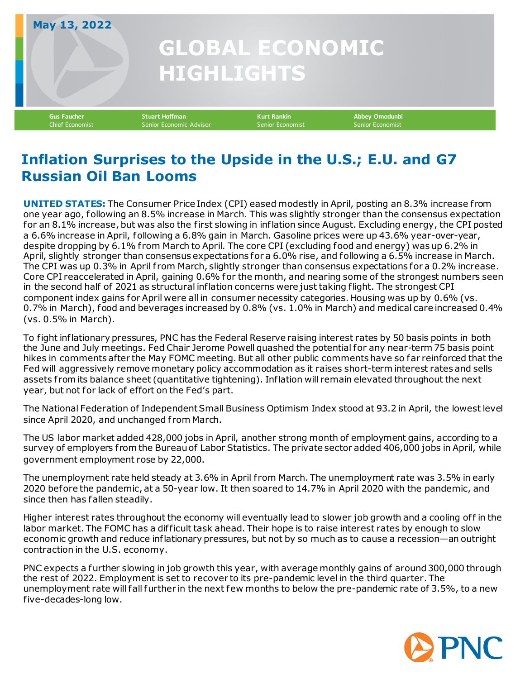## **GLOBAL ECONOMIC HIGHLIGHTS May 13, 2022 Gus Faucher Stuart Hoffman Kurt Rankin Abbey Omodunbi**

**Inflation Surprises to the Upside in the U.S.; E.U. and G7 Russian Oil Ban Looms**

Senior Economic Advisor

**UNITED STATES:** The Consumer Price Index (CPI) eased modestly in April, posting an 8.3% increase from one year ago, following an 8.5% increase in March. This was slightly stronger than the consensus expectation for an 8.1% increase, but was also the first slowing in inflation since August. Excluding energy, the CPI posted a 6.6% increase in April, following a 6.8% gain in March. Gasoline prices were up 43.6% year-over-year, despite dropping by 6.1% from March to April. The core CPI (excluding food and energy) was up 6.2% in April, slightly stronger than consensus expectations for a 6.0% rise, and following a 6.5% increase in March. The CPI was up 0.3% in April from March, slightly stronger than consensus expectations for a 0.2% increase. Core CPI reaccelerated in April, gaining 0.6% for the month, and nearing some of the strongest numbers seen in the second half of 2021 as structural inflation concerns were just taking flight. The strongest CPI component index gains for April were all in consumer necessity categories. Housing was up by 0.6% (vs. 0.7% in March), food and beverages increased by 0.8% (vs. 1.0% in March) and medical care increased 0.4% (vs. 0.5% in March).

To fight inflationary pressures, PNC has the Federal Reserve raising interest rates by 50 basis points in both the June and July meetings. Fed Chair Jerome Powell quashed the potential for any near-term 75 basis point hikes in comments after the May FOMC meeting. But all other public comments have so far reinforced that the Fed will aggressively remove monetary policy accommodation as it raises short-term interest rates and sells assets from its balance sheet (quantitative tightening). Inflation will remain elevated throughout the next year, but not for lack of effort on the Fed's part.

The National Federation of Independent Small Business Optimism Index stood at 93.2 in April, the lowest level since April 2020, and unchanged from March.

The US labor market added 428,000 jobs in April, another strong month of employment gains, according to a survey of employers from the Bureau of Labor Statistics. The private sector added 406,000 jobs in April, while government employment rose by 22,000.

The unemployment rate held steady at 3.6% in April from March. The unemployment rate was 3.5% in early 2020 before the pandemic, at a 50-year low. It then soared to 14.7% in April 2020 with the pandemic, and since then has fallen steadily.

Higher interest rates throughout the economy will eventually lead to slower job growth and a cooling off in the labor market. The FOMC has a difficult task ahead. Their hope is to raise interest rates by enough to slow economic growth and reduce inflationary pressures, but not by so much as to cause a recession—an outright contraction in the U.S. economy.

PNC expects a further slowing in job growth this year, with average monthly gains of around 300,000 through the rest of 2022. Employment is set to recover to its pre-pandemic level in the third quarter. The unemployment rate will fall further in the next few months to below the pre-pandemic rate of 3.5%, to a new five-decades-long low.